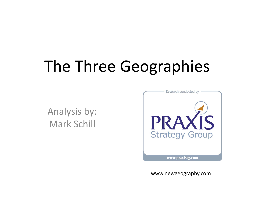# The Three Geographies

Analysis by: Mark Schill



www.newgeography.com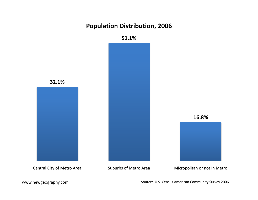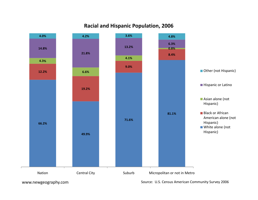

#### **Racial and Hispanic Population, 2006**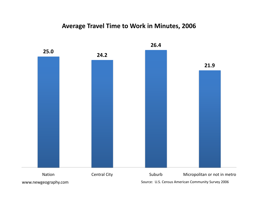## **Average Travel Time to Work in Minutes, 2006**

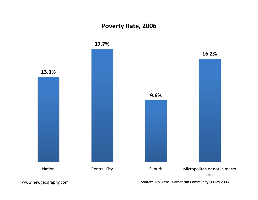## **Poverty Rate, 2006**

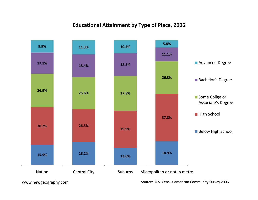#### **Educational Attainment by Type of Place, 2006**

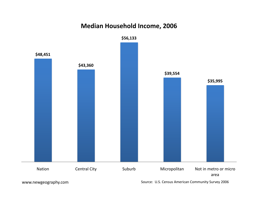## **Median Household Income, 2006**

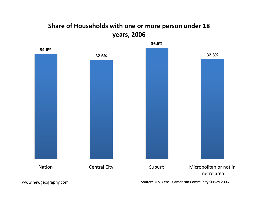# **Share of Households with one or more person under 18 years, 2006 y ,**

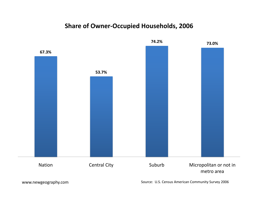#### **Share of Owner‐Occupied Households, 2006**

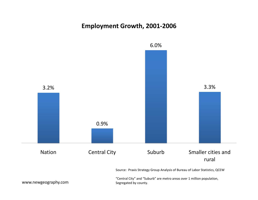## **Employment Growth, 2001‐2006**